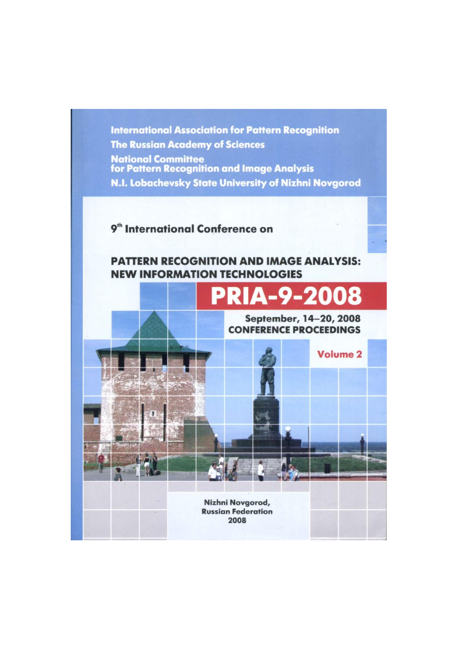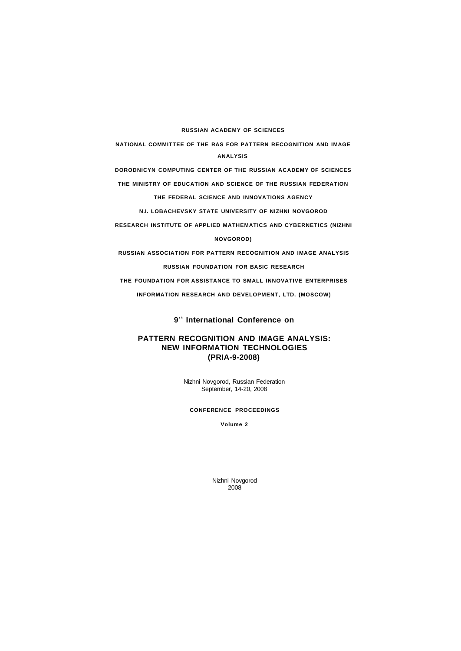**RUSSIAN ACADEMY OF SCIENCES** 

**NATIONAL COMMITTEE OF THE RAS FOR PATTERN RECOGNITION AND IMAGE ANALYSIS** 

**DORODNICYN COMPUTING CENTER OF THE RUSSIAN ACADEMY OF SCIENCES** 

**THE MINISTRY OF EDUCATION AND SCIENCE OF THE RUSSIAN FEDERATION THE FEDERAL SCIENCE AND INNOVATIONS AGENCY** 

**N.I. LOBACHEVSKY STATE UNIVERSITY OF NIZHNI NOVGOROD** 

**RESEARCH INSTITUTE OF APPLIED MATHEMATICS AND CYBERNETICS (NIZHNI** 

**NOVGOROD)** 

**RUSSIAN ASSOCIATION FOR PATTERN RECOGNITION AND IMAGE ANALYSIS RUSSIAN FOUNDATION FOR BASIC RESEARCH** 

**THE FOUNDATION FOR ASSISTANCE TO SMALL INNOVATIVE ENTERPRISES** 

**INFORMATION RESEARCH AND DEVELOPMENT, LTD. (MOSCOW)** 

**9 t h International Conference on** 

# **PATTERN RECOGNITION AND IMAGE ANALYSIS: NEW INFORMATION TECHNOLOGIES (PRIA-9-2008)**

Nizhni Novgorod, Russian Federation September, 14-20, 2008

## **CONFERENCE PROCEEDINGS**

**Volume 2** 

Nizhni Novgorod 2008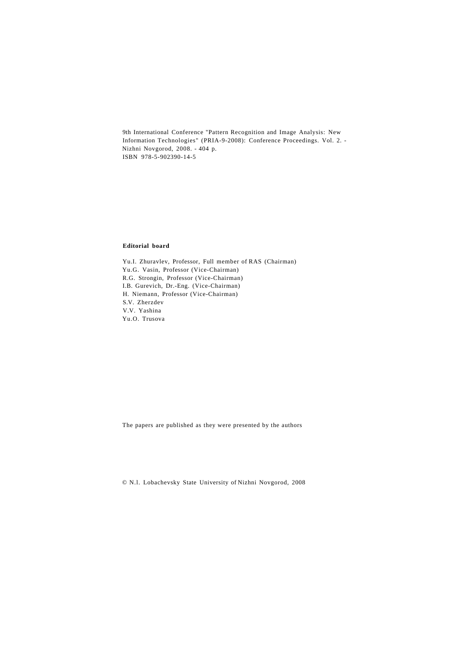9th International Conference "Pattern Recognition and Image Analysis: New Information Technologies" (PRIA-9-2008): Conference Proceedings. Vol. 2. - Nizhni Novgorod, 2008. - 404 p. ISBN 978-5-902390-14-5

# **Editorial board**

Yu.I. Zhuravlev, Professor, Full member of RAS (Chairman) Yu.G. Vasin, Professor (Vice-Chairman) R.G. Strongin, Professor (Vice-Chairman) I.B. Gurevich, Dr.-Eng. (Vice-Chairman) H. Niemann, Professor (Vice-Chairman) S.V. Zherzdev V.V. Yashina Yu.O. Trusova

The papers are published as they were presented by the authors

© N.l. Lobachevsky State University of Nizhni Novgorod, 2008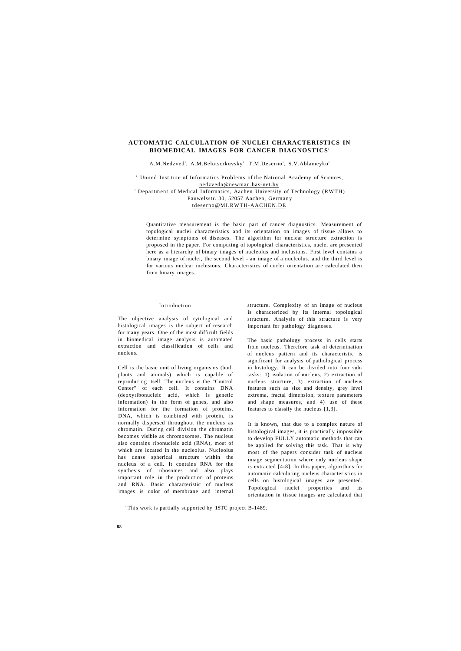## **AUTOMATIC CALCULATION OF NUCLEI CHARACTERISTICS IN BIOMEDICAL IMAGES FOR CANCER DIAGNOSTICS<sup>1</sup>**

#### A.M.Nedzved<sup>2</sup>, A.M.Belotscrkovsky<sup>2</sup>, T.M.Deserno<sup>3</sup>, S.V.Ablameyko<sup>2</sup>

2 United Institute of Informatics Problems of the National Academy of Sciences, [nedzveda@newman.bas-net.by](mailto:nedzveda@newman.bas-net.by) 

3 Department of Medical Informatics, Aachen University of Technology (RWTH) Pauwelsstr. 30, 52057 Aachen, Germany [tdeserno@MI.RWTH-AACHEN.DE](mailto:tdeserno@MI.RWTH-AACHEN.DE) 

Quantitative measurement is the basic part of cancer diagnostics. Measurement of topological nuclei characteristics and its orientation on images of tissue allows to determine symptoms of diseases. The algorithm for nuclear structure extraction is proposed in the paper. For computing of topological characteristics, nuclei are presented here as a hierarchy of binary images of nucleolus and inclusions. First level contains a binary image of nuclei, the second level - an image of a nucleolus, and the third level is for various nuclear inclusions. Characteristics of nuclei orientation are calculated then from binary images.

#### Introduction

The objective analysis of cytological and histological images is the subject of research for many years. One of the most difficult fields in biomedical image analysis is automated extraction and classification of cells and nucleus.

Cell is the basic unit of living organisms (both plants and animals) which is capable of reproducing itself. The nucleus is the "Control Center" of each cell. It contains DNA (deoxyribonucleic acid, which is genetic information) in the form of genes, and also information for the formation of proteins. DNA, which is combined with protein, is normally dispersed throughout the nucleus as chromatin. During cell division the chromatin becomes visible as chromosomes. The nucleus also contains ribonucleic acid (RNA), most of which are located in the nucleolus. Nucleolus has dense spherical structure within the nucleus of a cell. It contains RNA for the synthesis of ribosomes and also plays important role in the production of proteins and RNA. Basic characteristic of nucleus images is color of membrane and internal

structure. Complexity of an image of nucleus is characterized by its internal topological structure. Analysis of this structure is very important for pathology diagnoses.

The basic pathology process in cells starts from nucleus. Therefore task of determination of nucleus pattern and its characteristic is significant for analysis of pathological process in histology. It can be divided into four subtasks: 1) isolation of nucleus, 2) extraction of nucleus structure, 3) extraction of nucleus features such as size and density, grey level extrema, fractal dimension, texture parameters and shape measures, and 4) use of these features to classify the nucleus [1,3].

It is known, that due to a complex nature of histological images, it is practically impossible to develop FULLY automatic methods that can be applied for solving this task. That is why most of the papers consider task of nucleus image segmentation where only nucleus shape is extracted [4-8]. In this paper, algorithms for automatic calculating nucleus characteristics in cells on histological images are presented. Topological nuclei properties and its orientation in tissue images are calculated that

1 This work is partially supported by 1STC project B-1489.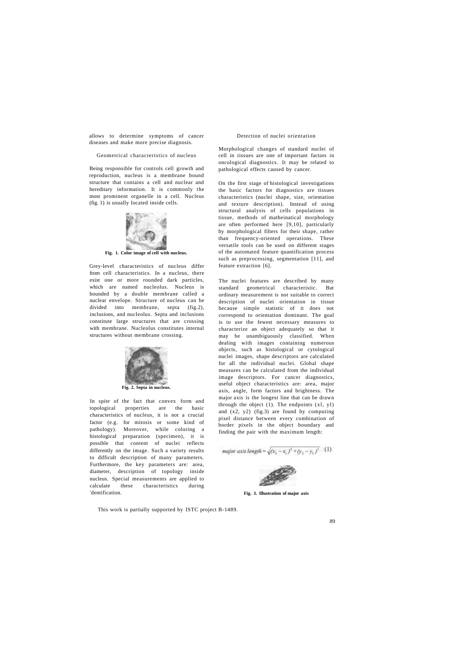allows to determine symptoms of cancer diseases and make more precise diagnosis.

## Geometrical characteristics of nucleus

Being responsible for controls cell growth and reproduction, nucleus is a membrane bound structure that contains a cell and nuclear and hereditary information. It is commonly the most prominent organelle in a cell. Nucleus (fig. 1) is usually located inside cells.



### **Fig. 1. Color image of cell with nucleus.**

Grey-level characteristics of nucleus differ from cell characteristics. In a nucleus, there exist one or more rounded dark particles, which are named nucleolus. Nucleus is bounded by a double membrane called a nuclear envelope. Structure of nucleus can be divided into membrane, septa (fig.2), inclusions, and nucleolus. Septa and inclusions constitute large structures that are crossing with membrane. Nucleolus constitutes internal structures without membrane crossing.



In spite of the fact that convex form and topological properties are the basic characteristics of nucleus, it is not a crucial factor (e.g. for mitosis or some kind of pathology). Moreover, while coloring a histological preparation (specimen), it is possible that content of nuclei reflects differently on the image. Such a variety results to difficult description of many parameters. Furthermore, the key parameters are: area, diameter, description of topology inside nucleus. Special measurements are applied to calculate these characteristics during 'dentification.

This work is partially supported by ISTC project B-1489.

## Detection of nuclei orientation

Morphological changes of standard nuclei of cell in tissues are one of important factors in oncological diagnostics. It may be related to pathological effects caused by cancer.

On the first stage of histological investigations the basic factors for diagnostics are tissues characteristics (nuclei shape, size, orientation and texture description). Instead of using structural analysis of cells populations in tissue, methods of matheinatical morphology are often performed here [9,10], particularly by morphological filters for their shape, rather than frequency-oriented operations. These versatile tools can be used on different stages of the automated feature quantification process such as preprocessing, segmentation [11], and feature extraction [6].

The nuclei features are described by many standard geometrical characteristic. But ordinary measurement is not suitable to correct description of nuclei orientation in tissue because simple statistic of it does not correspond to orientation dominant. The goal is to use the fewest necessary measures to characterize an object adequately so that it may be unambiguously classified. When dealing with images containing numerous objects, such as histological or cytological nuclei images, shape descriptors are calculated for all the individual nuclei. Global shape measures can be calculated from the individual image descriptors. For cancer diagnostics, useful object characteristics are: area, major axis, angle, form factors and brightness. The major axis is the longest line that can be drawn through the object  $(1)$ . The endpoints  $(x1, y1)$ and (x2, y2) (fig.3) are found by computing pixel distance between every combination of border pixels in the object boundary and finding the pair with the maximum length:

major axis length = 
$$
\sqrt{(x_2 - x_1)^2 + (y_2 - y_1)^2}
$$
 (1)



**Fig. 3. Illustration of major axis**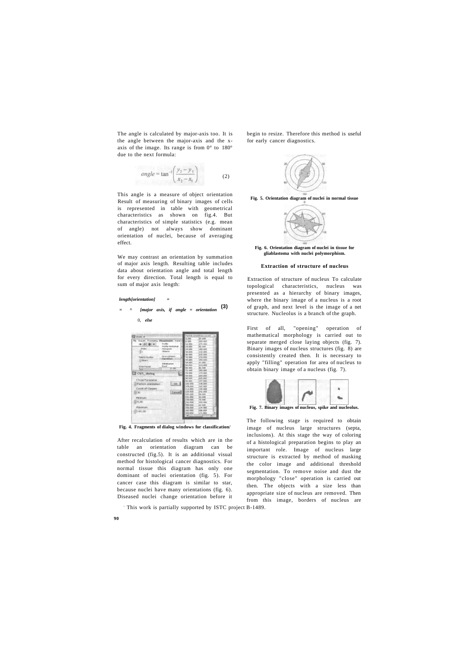The angle is calculated by major-axis too. It is the angle between the major-axis and the xaxis of the image. Its range is from 0° to 180° due to the next formula:

$$
angle = \tan^{-1} \left( \frac{y_2 - y_1}{x_2 - x_1} \right)
$$
 (2)

This angle is a measure of object orientation Result of measuring of binary images of cells is represented in table with geometrical characteristics as shown on fig.4. But characteristics of simple statistics (e.g. mean of angle) not always show dominant orientation of nuclei, because of averaging effect.

We may contrast an orientation by summation of major axis length. Resulting table includes data about orientation angle and total length for every direction. Total length is equal to sum of major axis length:

*length[orientation] =* 

**90** 

# *= ^ [major axis, if angle = orientation*  **(3)**  0, *else*

| E Haln.vt                                   |                            | Particle orient/Anna (plants) |                    |  |
|---------------------------------------------|----------------------------|-------------------------------|--------------------|--|
|                                             |                            | 0.000                         | 34,000             |  |
| The Acques Processing Massagement, Transfer |                            | 6.000                         | 105 000            |  |
| 中国 朝日                                       | <b>Furniture</b>           | \$2,000                       | 244.000            |  |
|                                             | Pecifike Interferential    | 121, (300)                    | <b>AVEL ENGINE</b> |  |
| <b>Dides</b>                                | <b>Hubbgram</b>            | 24,000                        | Lifett, Janet      |  |
| 海                                           | <b>Olimcts</b>             | 30,000                        | 110.000            |  |
|                                             |                            | <b>36, 000</b>                | 221.003            |  |
| <b>Paintin Number</b>                       | Brian/Objects<br>Cariolias | 42,000                        | 173,000            |  |
| L) throw y                                  |                            | wh.cent                       | HNK OVER           |  |
|                                             | <b>Preference of</b>       | 14,1833                       | <b>WELDER</b>      |  |
| <b>Zoner Factor</b>                         | Excel                      | AVO, DOO                      | 223,000            |  |
|                                             | 97,290                     | 44, 900                       | 82 DOD             |  |
|                                             |                            | 22,000                        | 25% circl.         |  |
| Soloit, 263 C                               | œ                          | 29,000                        | 1.33.000           |  |
|                                             |                            | 164, 1430                     | 264, DOD           |  |
| Chose Parameter                             |                            | nets stands                   | 225,000            |  |
|                                             |                            | 96.000                        | 197.000            |  |
| - Particle orientation                      | 1.0K 3                     | 102 000                       | 1.592.000          |  |
|                                             |                            | 1296,000                      | 147.000            |  |
| Coure of Classes                            |                            | 1.1.4.0033                    | 1,3% (900)         |  |
| 450                                         | Cancell                    | 120,000                       | 242,000            |  |
|                                             |                            | 124,000                       | Tot, doub          |  |
| Manifestado                                 |                            | 3,32,4830                     | W.C. CKWH          |  |
|                                             |                            | 1,50,000                      | 76, 000            |  |
| 220,00                                      |                            | 164.7935                      | 2010, FWW3         |  |
|                                             |                            | THAIL (IKIN)                  | 62,000             |  |
| Maximum                                     |                            | 156.000                       | 134.000            |  |
| 0.180,00                                    |                            | 142,000                       | 166,000            |  |
|                                             |                            | <b>SAIR, DOUG</b>             | 171.000            |  |
|                                             |                            |                               | ٠                  |  |

Fig. 4. Fragments of dialog windows for classification.

After recalculation of results which are in the table an orientation diagram can be constructed (fig.5). It is an additional visual method for histological cancer diagnostics. For normal tissue this diagram has only one dominant of nuclei orientation (fig. 5). For cancer case this diagram is similar to star, because nuclei have many orientations (fig. 6). Diseased nuclei change orientation before it

This work is partially supported by ISTC project B-1489.

begin to resize. Therefore this method is useful for early cancer diagnostics.



**Fig. 5. Orientation diagram of nuclei in normal tissue** 



**Fig. 6. Orientation diagram of nuclei in tissue for gliablastoma with nuclei polymorphism.** 

#### **Extraction of structure of nucleus**

Extraction of structure of nucleus To calculate topological characteristics, nucleus was presented as a hierarchy of binary images, where the binary image of a nucleus is a root of graph, and next level is the image of a net structure. Nucleolus is a branch of the graph.

First of all, "opening" operation of mathematical morphology is carried out to separate merged close laying objects (fig. 7). Binary images of nucleus structures (fig. 8) are consistently created then. It is necessary to apply "filling" operation for area of nucleus to obtain binary image of a nucleus (fig. 7).





The following stage is required to obtain image of nucleus large structures (septa, inclusions). At this stage the way of coloring of a histological preparation begins to play an important role. Image of nucleus large structure is extracted by method of masking the color image and additional threshold segmentation. To remove noise and dust the morphology "close" operation is carried out then. The objects with a size less than appropriate size of nucleus are removed. Then from this image, borders of nucleus are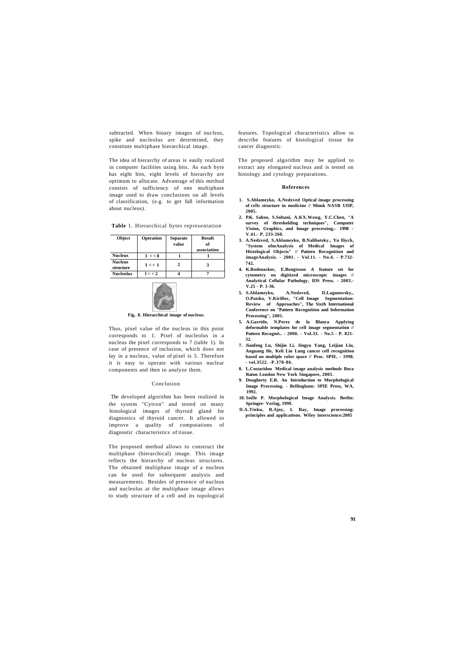subtracted. When binary images of nucleus, spike and nucleolus are determined, they constitute multiphase hierarchical image.

The idea of hierarchy of areas is easily realized in computer facilities using bits. As each byte has eight bits, eight levels of hierarchy are optimum to allocate. Advantage of this method consists of sufficiency of one multiphase image used to draw conclusions on all levels of classification, (e.g. to get full information about nucleus).

**Table** 1. Hierarchical bytes representation

| <b>Object</b>               | Operation | <b>Separate</b><br>value | Result<br>of<br>association |
|-----------------------------|-----------|--------------------------|-----------------------------|
| <b>Nucleus</b>              | 1 < 0     |                          |                             |
| <b>Nucleus</b><br>structure | 1 < 1     | 2                        |                             |
| <b>Nucleolus</b>            | 1 < 2     |                          |                             |



**Fig. 8. Hierarchical image of nucleus.** 

Thus, pixel value of the nucleus in this point corresponds to 1. Pixel of nucleolus in a nucleus the pixel corresponds to 7 (table 1). In case of presence of inclusion, which does not lay in a nucleus, value of pixel is 5. Therefore it is easy to operate with various nuclear components and then to analyze them.

## Conclusion

The developed algorithm has been realized in the system "Cytron" and tested on many histological images of thyroid gland for diagnostics of thyroid cancer. It allowed to improve a quality of computations of diagnostic characteristics of tissue.

The proposed method allows to construct the multiphase (hierarchical) image. This image reflects the hierarchy of nucleus structures. The obtained multiphase image of a nucleus can be used for subsequent analysis and measurements. Besides of presence of nucleus and nucleolus at the multiphase image allows to study structure of a cell and its topological

features. Topological characteristics allow to describe features of histological tissue for cancer diagnostic.

The proposed algorithm may be applied to extract any elongated nucleus and is tested on histology and cytology preparations.

#### **References**

- **1. S.Ablameyko, A.Nedzved Optical image processing of cells structure in medicine // Minsk NASB UIIP, 2005.**
- **2. P.K. Sahoo, S.Soltani, A.KX.Wong, Y.C.Chen, "A survey of thresholding techniques", Computer Vision, Graphics, and Image processing.- 1998 - V.41.- P. 233-260.**
- **3. A.Nedzved, S.Ablameyko, B.Nalibotsky., Yu lliych, "System ofmAnalysis of Medical Images of Histological Objects" // Pattern Recognition and imageAnalysis. - 2001. - Vol.11. - No.4. - P.732- 742.**
- **4. K.Rodenacker, E.Bengtsson A feature set for cytometry on digitized microscopic images // Analytical Cellular Pathology, IOS Press. - 2003.- V.25 - P. 1-36.**
- **5. S.Ablameyko, A.Nedzved, D.Lagunovsky,. O.Patsko, V.Kirillov, "Cell Image Segmentation: Review of Approaches", The Sixth International Conference on "Pattern Recognition and Information Processing", 2001.**
- **5. A.Garrido, N.Perez de la Blanca Applying deformable templates for cell image segmentation // Pattern Recognit.. - 2000. - Vol.33. - No.5 - P. 821- 32.**
- **7. Jianfeng Lu, Shijin Li, Jingyu Yang, Leijian Liu, Anguang He, Keli Liu Lung cancer cell recognition based on multiple color space // Proc. SPIE. - 1998. - vol.3522. -P.378-86.**
- **8. L.Costaridou Medical image analysis methods Boca Raton London New York Singapore, 2005. 9. Dougherty E.R. An Introduction to Morphological**
- **Image Processing. Bellingham: SPIE Press, WA, 1992.**
- **10. Soille P. Morphological Image Analysis. Berlin: Springer- Verlag, 1999.**
- **Il.A.Tinku, R.Ajoy, I. Ray, Image processing: principles and applications. Wiley interscience:2005**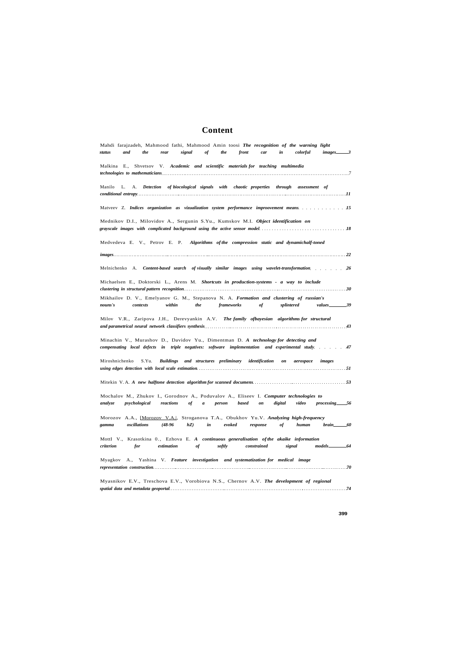# **Content**

|                | Shvetsov V. Academic and scientific materials for teaching multimedia<br>Malkina E.,                                                                                                                           |
|----------------|----------------------------------------------------------------------------------------------------------------------------------------------------------------------------------------------------------------|
| Manilo         | L.<br>A. Detection of biocological signals with chaotic properties through assessment of                                                                                                                       |
|                | Matveev Z. Indices organization as vizualization system performance improovement means.                                                                                                                        |
|                | Mednikov D.I., Milovidov A., Sergunin S.Yu., Kumskov M.I. Object identification on<br>grayscale images with complicated background using the active sensor model contact the contact the contact the           |
|                | Medvedeva E. V., Petrov E. P.<br>Algorithms of the compression static and dynamichalf-toned                                                                                                                    |
|                |                                                                                                                                                                                                                |
|                |                                                                                                                                                                                                                |
|                | Michaelsen E., Doktorski L., Arens M. Shortcuts in production-systems - a way to include                                                                                                                       |
| nouns's        | Mikhailov D. V., Emelyanov G. M., Stepanova N. A. Formation and clustering of russian's<br>contexts<br>within<br>the<br>frameworks<br>of<br>splintered                                                         |
|                | Milov V.R., Zaripova J.H., Derevyankin A.V. The family ofbayesian algorithms for structural                                                                                                                    |
|                | Minachin V., Murashov D., Davidov Yu., Dimentman D. A technology for detecting and<br>compensating local defects in triple negatives: software implementation and experimental study. 47                       |
| Miroshnichenko | S.Yu.<br>and structures preliminary identification<br><b>Buildings</b><br>on<br>aerospace<br>images                                                                                                            |
|                |                                                                                                                                                                                                                |
|                |                                                                                                                                                                                                                |
| analyze        | Mochalov M., Zhukov I., Gorodnov A., Poduvalov A., Eliseev I. Computer technologies to<br>$processing$ 56<br>psychological<br>reactions<br>of<br>based<br>digital<br>$\boldsymbol{a}$<br>person<br>on<br>video |
| gamma          | Morozov A.A., [Morozov V.A.], Stroganova T.A., Obukhov Yu.V. Analyzing high-frequency<br>$(48-96)$<br>hZ<br>oscillations<br>in<br>evoked<br>of<br>human<br>response<br>brain_                                  |
| criterion      | MottI V., Krasotkina 0., Ezhova E. A continuous generalisation of the akaike information<br>for<br>estimation<br>softly<br>of<br>constrained<br>signal                                                         |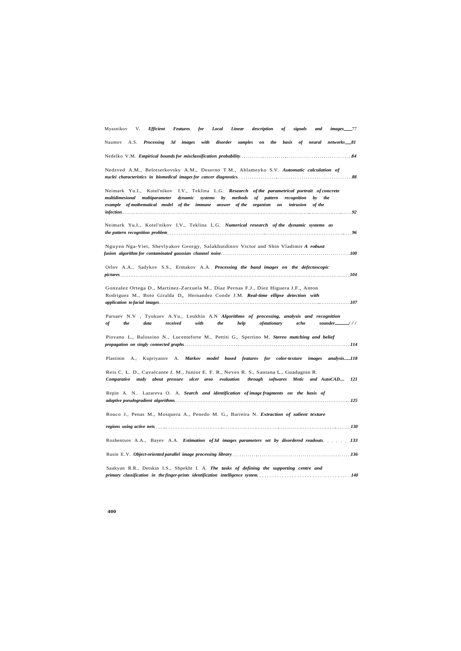| Myasnikov<br>V.<br><b>Efficient</b>                                                                                                                                                                        | <b>Features</b><br>for                                                          | Local<br>Linear | description                | оf<br>signals            | and                 | $images_{\dots}$ 77      |
|------------------------------------------------------------------------------------------------------------------------------------------------------------------------------------------------------------|---------------------------------------------------------------------------------|-----------------|----------------------------|--------------------------|---------------------|--------------------------|
| Naumov A.S. Processing                                                                                                                                                                                     | 3d<br>images<br>with                                                            | disorder        | samples<br>the<br>$\it on$ | basis                    |                     | of neural networks 81    |
|                                                                                                                                                                                                            |                                                                                 |                 |                            |                          |                     |                          |
| Nedzved A.M., Belotserkovsky A.M., Deserno T.M., Ablameyko S.V. Automatic calculation of                                                                                                                   |                                                                                 |                 |                            |                          |                     |                          |
| Neimark Yu.I., Kotel'nikov I.V., Teklina L.G. Research of the parametrical portrait of concrete<br>multidimesional multiparameter<br>example of mathematical model of the immune answer of the organism on | dynamic<br>systems                                                              | by<br>methods   | of pattern                 | recognition<br>intrusion | by<br>the<br>of the |                          |
| Neimark Yu.I., Kotel'nikov I.V., Teklina L.G. Numerical research of the dynamic systems as                                                                                                                 |                                                                                 |                 |                            |                          |                     |                          |
| Nguyen Nga-Viet, Shevlyakov Georgy, Salakhutdinov Victor and Shin Vladimir A robust                                                                                                                        |                                                                                 |                 |                            |                          |                     |                          |
| Orlov A.A., Sadykov S.S., Ermakov A.A. Processing the band images on the defectoscopic                                                                                                                     |                                                                                 |                 |                            |                          |                     |                          |
| Gonzalez Ortega D., Martinez-Zarzuela M., Diaz Pernas F.J., Diez Higuera J.F., Anton<br>Rodriguez M., Boto Giralda D,, Hernandez Conde J.M. Real-time ellipse detection with                               |                                                                                 |                 |                            |                          |                     |                          |
| Parsaev N.V , Tyukaev A.Yu., Leukhin A.N Algorithms of processing, analysis and recognition<br>of<br>the<br>data                                                                                           | received<br>with                                                                | the<br>help     | ofstationary               | echo                     |                     | sounder $\frac{1}{1}$ // |
| Piovano L., Balossino N., Lucenteforte M., Pettiti G., Spertino M. Stereo matching and belief                                                                                                              |                                                                                 |                 |                            |                          |                     |                          |
| Plastinin A.,                                                                                                                                                                                              | Kupriyanov A. Markov model based features for color-texture images analysis_118 |                 |                            |                          |                     |                          |
| Reis C. L. D., Cavalcante J. M., Junior E. F. R., Neves R. S., Santana L., Guadagnin R.<br>Comparative study about pressure ulcer area                                                                     |                                                                                 | evaluation      | through softwares Motic    |                          | and AutoCAD         | 121                      |
| Repin A. N Lazareva O. A. Search and identification of image fragments on the basis of<br>adaptive pseudogradient algorithms.                                                                              |                                                                                 |                 |                            |                          |                     |                          |
| Rouco J., Penas M., Mosquera A., Penedo M. G., Barreira N. Extraction of salient texture                                                                                                                   |                                                                                 |                 |                            |                          |                     |                          |
|                                                                                                                                                                                                            |                                                                                 |                 |                            |                          |                     |                          |
| Rozhentsov A.A., Bayev A.A. Estimation of 3d images parameters set by disordered readouts  133                                                                                                             |                                                                                 |                 |                            |                          |                     |                          |
|                                                                                                                                                                                                            |                                                                                 |                 |                            |                          |                     |                          |
| Saakyan R.R., Detskin I.S., Shpekht I. A. The tasks of defining the supporting centre and                                                                                                                  |                                                                                 |                 |                            |                          |                     |                          |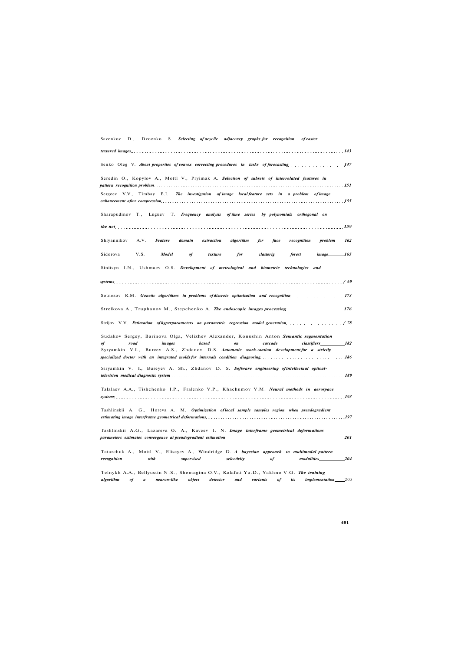Savcnkov D., Dvoenko S. *Selecting of acyclic adjacency graphs for recognition of raster* 

| Senko Oleg V. About properties of convex correcting procedures in tasks of forecasting manufacturers in the senator of the senator of the senator of the senator of the senator of the senator of the senator of the senator o                                                                                                    |
|-----------------------------------------------------------------------------------------------------------------------------------------------------------------------------------------------------------------------------------------------------------------------------------------------------------------------------------|
| Seredin O., Kopylov A., Mottl V., Pryimak A. Selection of subsets of interrelated features in<br>pattern recognition problem 151                                                                                                                                                                                                  |
| Sergeev V.V., Timbay E.I. The investigation of image local feature sets in a problem of image<br>enhancement after compression and the contract of the contract of the contract of the contract of the contract of the contract of the contract of the contract of the contract of the contract of the contract of the contract   |
| Sharapudinov T., Luguev T. Frequency analysis of time series by polynomials orthogonal on                                                                                                                                                                                                                                         |
| the net additional continuous contracts and the contracts of the contracts of $\bm{159}$                                                                                                                                                                                                                                          |
| Shlyannikov<br>A.V.<br><b>Feature</b><br>domain<br>extraction<br>algorithm<br>face<br>recognition<br>problem 162<br>for                                                                                                                                                                                                           |
| image_________________165<br>Sidorova<br>V.S.<br>Model<br>of<br>texture<br>for<br>clasterig<br>forest                                                                                                                                                                                                                             |
| Sinitsyn I.N., Ushmaev O.S. Development of metrological and biometric technologies and                                                                                                                                                                                                                                            |
|                                                                                                                                                                                                                                                                                                                                   |
| Sotnezov R.M. Genetic algorithms in problems of discrete optimization and recognition manufacturers. 173                                                                                                                                                                                                                          |
| Strelkova A., Truphanov M., Stepchenko A. The endoscopic images processing 176                                                                                                                                                                                                                                                    |
| Strijov V.V. Estimation of hyperparameters on parametric regression model generation (78)                                                                                                                                                                                                                                         |
| Sudakov Sergey, Barinova Olga, Velizhev Alexander, Konushin Anton Semantic segmentation                                                                                                                                                                                                                                           |
| based<br>road<br>images<br>on<br>cascade<br><i>classifiers</i><br>182<br>of<br>Syryamkin V.I., Bureev A.S., Zhdanov D.S. Automatic work-station development for a strictly<br>specialized doctor with an integrated molds for internals condition diagnosing manufacturers are not as a l86                                       |
| Siryamkin V. I., Bureyev A. Sh., Zhdanov D. S. Software engineering of intellectual optical-                                                                                                                                                                                                                                      |
|                                                                                                                                                                                                                                                                                                                                   |
| Talalaev A.A., Tishchenko I.P., Fralenko V.P., Khachumov V.M. Neural methods in aerospace                                                                                                                                                                                                                                         |
| Tashlinskii A. G., Horeva A. M. Optimization of local sample samples region when pseudogradient<br>estimating image interfratne geometrical deformations entertainment in the state of the state of the state of the state of the state of the state of the state of the state of the state of the state of the state of the stat |
| Tashlinskii A.G., Lazareva O. A., Kaveev I. N. Image interframe geometrical deformations<br>parameters estimates convergence at pseudogradient estimation<br>201                                                                                                                                                                  |
| Tatarchuk A., Mottl V., Eliseyev A., Windridge D. A bayesian approach to multimodal pattern                                                                                                                                                                                                                                       |
| supervised<br>selectivity<br>$modalities$ <sub>204</sub><br>recognition<br>with<br>of                                                                                                                                                                                                                                             |
| Telnykh A.A., Bellyustin N.S., Shemagina O.V., Kalafati Yu.D., Yakhno V.G. The training                                                                                                                                                                                                                                           |

*algorithm of a neuron-like object detector and variants of its implementation* 205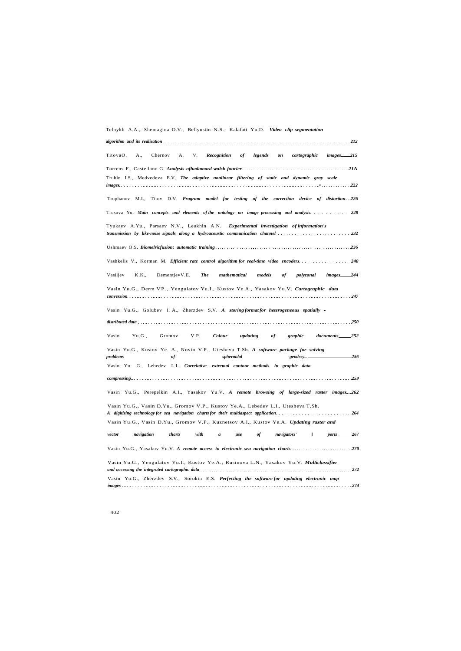Telnykh A.A., Shemagina O.V., Bellyustin N.S., Kalafati Yu.D. *Video clip segmentation* 

| 212                                                                                                                                                                                                                                                                                                                        |
|----------------------------------------------------------------------------------------------------------------------------------------------------------------------------------------------------------------------------------------------------------------------------------------------------------------------------|
| TitovaO.<br>Chernov<br><b>Recognition</b><br>of<br>legends<br>cartographic<br>images <sub>215</sub><br>A.,<br>А.<br>V.<br>on                                                                                                                                                                                               |
|                                                                                                                                                                                                                                                                                                                            |
| Trubin I.S., Medvedeva E.V. The adaptive nonlinear filtering of static and dynamic gray scale                                                                                                                                                                                                                              |
| Truphanov M.I., Titov D.V. Program model for testing of the correction device of distortion_226                                                                                                                                                                                                                            |
| Trusova Yu. Main concepts and elements of the ontology on image processing and analysis. 228                                                                                                                                                                                                                               |
| Tyukaev A.Yu., Parsaev N.V., Leukhin A.N.<br>Experimental investigation of information's<br>transmission by like-noise signals along a hydroacoustic communication channel. The context of the context of the context of the context of the context of the context of the context of the context of the context of the con |
|                                                                                                                                                                                                                                                                                                                            |
| Vashkelis V., Korman M. Efficient rate control algorithm for real-time video encoders240                                                                                                                                                                                                                                   |
| Vasiljev<br>images 244<br>K.K.,<br>DementjevV.E.<br>The<br>mathematical<br>models<br>polyzonal<br>оf                                                                                                                                                                                                                       |
| Vasin Yu.G., Derm VP., Yengulatov Yu.I., Kustov Ye.A., Yasakov Yu.V. Cartographic data                                                                                                                                                                                                                                     |
| Vasin Yu.G., Golubev I. A., Zherzdev S.V. A storing format for heterogeneous spatially -                                                                                                                                                                                                                                   |
|                                                                                                                                                                                                                                                                                                                            |
| Yu.G.,<br>Gromov<br>V.P.<br><b>Colour</b><br>documents 252<br>Vasin<br>updating<br>graphic<br>of                                                                                                                                                                                                                           |
| Vasin Yu.G., Kustov Ye. A., Novin V.P., Utesheva T.Sh. A software package for solving<br>problems<br>spheroidal<br>256<br>of<br>geodesy_                                                                                                                                                                                   |
| Vasin Yu. G., Lebedev L.I. Correlative -extremal contour methods in graphic data                                                                                                                                                                                                                                           |
|                                                                                                                                                                                                                                                                                                                            |
| Vasin Yu.G., Perepelkin A.I., Yasakov Yu.V. A remote browsing of large-sized raster images 262                                                                                                                                                                                                                             |
| Vasin Yu.G., Vasin D.Yu., Gromov V.P., Kustov Ye.A., Lebedev L.I., Utesheva T.Sh.<br>A digitizing technology for sea navigation charts for their multiaspect application                                                                                                                                                   |
| Vasin Yu.G., Vasin D.Yu., Gromov V.P., Kuznetsov A.I., Kustov Ye.A. Updating raster and                                                                                                                                                                                                                                    |
| navigation<br>charts<br>with<br>of<br>navigators'<br>L.<br>ports_<br>$-267$<br>vector<br>$\boldsymbol{a}$<br>use                                                                                                                                                                                                           |
| Vasin Yu.G., Yasakov Yu.V. A remote access to electronic sea navigation charts 270                                                                                                                                                                                                                                         |
| Vasin Yu.G., Yengulatov Yu.I., Kustov Ye.A., Rusinova L.N., Yasakov Yu.V. Multiclassifier                                                                                                                                                                                                                                  |
| Vasin Yu.G., Zherzdev S.V., Sorokin E.S. Perfecting the software for updating electronic map                                                                                                                                                                                                                               |
| 274                                                                                                                                                                                                                                                                                                                        |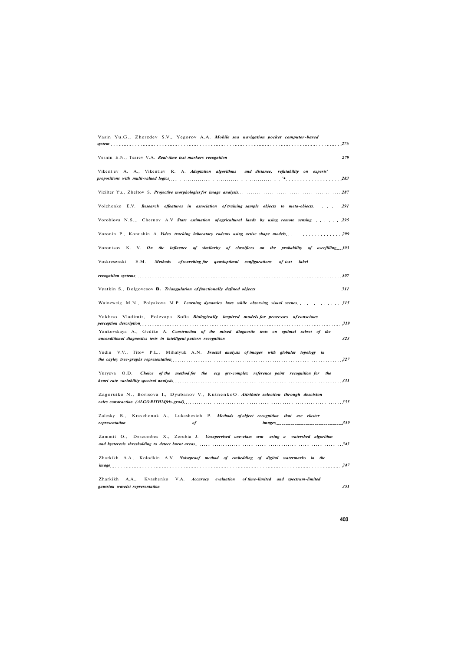| Vasin Yu.G., Zherzdev S.V., Yegorov A.A. Mobile sea navigation pocket computer-based<br>system                                                                                                                                                                                                                                                            |
|-----------------------------------------------------------------------------------------------------------------------------------------------------------------------------------------------------------------------------------------------------------------------------------------------------------------------------------------------------------|
| Vesnin E.N., Tsarev V.A. Real-time text markers recognition <i>married</i> contains the series of the series of the series of the series of the series of the series of the series of the series of the series of the series of the                                                                                                                       |
| Vikent'ev A. A., Vikentiev R. A. Adaptation algorithms and distance, refutability on experts'                                                                                                                                                                                                                                                             |
|                                                                                                                                                                                                                                                                                                                                                           |
| Volchenko E.V. Research offeatures in association of training sample objects to meta-objects. 291                                                                                                                                                                                                                                                         |
| Vorobiova N.S.,. Chernov A.V State estimation of agricultural lands by using remote sensing 295                                                                                                                                                                                                                                                           |
| Voronin P., Konushin A. Video tracking laboratory rodents using active shape models 299                                                                                                                                                                                                                                                                   |
| Vorontsov K. V. On the influence of similarity of classifiers on the probability of overfilling 303                                                                                                                                                                                                                                                       |
| <b>Methods</b><br>Voskresenski<br>E.M.<br>of searching for<br>quasioptimal configurations<br>of text<br>label                                                                                                                                                                                                                                             |
| recognition systems and the contract of the contract of the contract of the contract of the contract of the contract of the contract of the contract of the contract of the contract of the contract of the contract of the co                                                                                                                            |
|                                                                                                                                                                                                                                                                                                                                                           |
| Wainzweig M.N., Polyakova M.P. Learning dynamics laws while observing visual scenes  315                                                                                                                                                                                                                                                                  |
| Yakhno Vladimir, Polevaya Sofia Biologically inspired models for processes of conscious<br>perception description <b>description</b> 319<br>Yankovskaya A., Gedike A. Construction of the mixed diagnostic tests on optimal subset of the<br>unconditional diagnostics tests in intelligent pattern recognition material contracts and the set of the 323 |
| V.V., Titov P.L., Mihalyuk A.N. Fractal analysis of images with globular topology in<br>Yudin<br>the cayley tree-graphs representation 327                                                                                                                                                                                                                |
| Choice of the method for the ecg qrs-complex reference point recognition for the<br>Yuryeva O.D.<br>heart rate variability spectral analysis measurements of the control of the state of the state of the state of the state of the state of the state of the state of the state of the state of the state of the state of the sta                        |
| Zagoruiko N., Borisova I., Dyubanov V., KutnenkoO. Attribute selection through descision<br>rules constraction (ALGORITHMfrls-grad) 335                                                                                                                                                                                                                   |
| Kravchonok A., Lukashevich P. Methods of object recognition that use cluster<br>Zalesky B.,<br>339<br>representation<br><i>images</i><br>of                                                                                                                                                                                                               |
| Zammit O., Descombes X., Zerubia J. Unsupervised one-class svm using a watershed algorithm                                                                                                                                                                                                                                                                |
| Zharkikh A.A., Kolodkin A.V. Noiseproof method of embedding of digital watermarks in the                                                                                                                                                                                                                                                                  |
| Zharkikh<br>A.A.,<br>Kvashenko V.A. Accuracy evaluation<br>of time-limited and spectrum-limited<br>351<br>gaussian wavelet representation                                                                                                                                                                                                                 |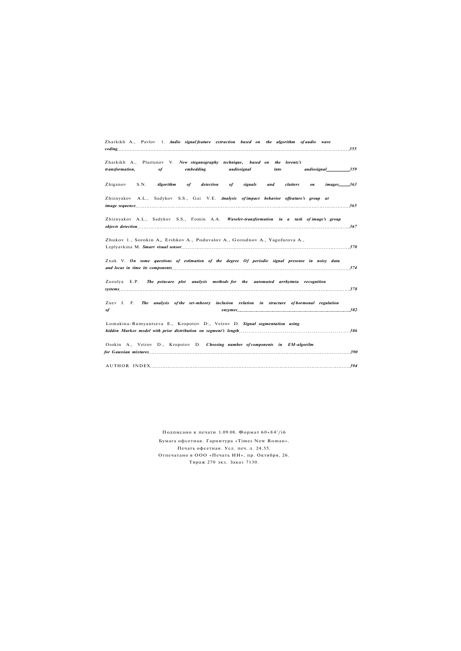| Zharkikh A., Pavlov 1. Audio signal feature extraction based on the algorithm of audio wave                                                                                                 |
|---------------------------------------------------------------------------------------------------------------------------------------------------------------------------------------------|
| Zharkikh A., Plastunov V. New steganography technique, based on the lorentz's<br>embedding<br>audiosignal <sub>200</sub> 359<br>transformation,<br>of<br>audiosignal<br>into                |
| detection<br>Zhiganov<br>S.N.<br><b>Algorithm</b><br>signals<br>and<br>clatters<br>images 363<br>of<br>of<br>on                                                                             |
| Zhiznyakov A.L., Sadykov S.S., Gai V.E. Analysis of impact behavior offeature's group at                                                                                                    |
| Zhiznyakov A.L., Sadykov S.S., Fomin A.A. Wavelet-transformation in a task of image's group<br>$\omega$ objects detection $\sim$ 367                                                        |
| Zhukov 1., Sorokin A., Ershkov A., Poduvalov A., Gorodnov A., Yagofarova A.,<br>Leplyavkina M. Smart visual sensor 370                                                                      |
| Znak V. On some questions of estimation of the degree Of periodic signal presense in noisy data<br>and locus in time its components 374                                                     |
| Zozulya E.P. The poincare plot analysis methods for the automated arrhytmia recognition<br>$s$ ystems $378$                                                                                 |
| Zuev J. F. The analysis of the set-mheory inclusion relation in structure of hormonal regulation<br>$enzymes.$ 382<br>of                                                                    |
| Lomakina-Rumyantseva E., Kropotov D., Vetrov D. Signal segmentation using<br>hidden Markov model with prior distribution on segment's length matches of the matches of the matches of the s |
| Osokin A., Vetrov D., Kropotov D. Choosing number of components in EM-algorilm<br>for Gaussian mixtures 390                                                                                 |
| 394                                                                                                                                                                                         |

Подписано к печати 1.09.08. Формат 60«84'/i6 Бумага офсетная. Гарнитура «Times New Roman». Печать офсетная. Усл. печ. л. 24,55. Отпечатано в ООО «Печать НН», пр. Октября, 26. Тираж 270 экз. Заказ 7130.